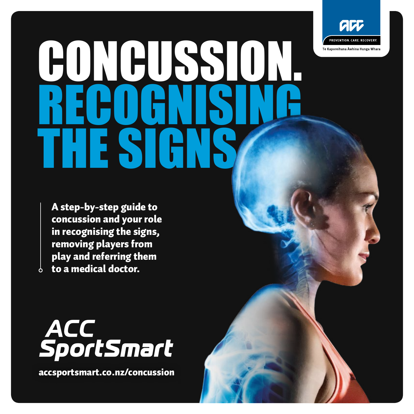

# CONCUSSION. RECOGNI **THE SIGNS**

A step-by-step guide to concussion and your role in recognising the signs, removing players from play and referring them to a medical doctor.



[accsportsmart.co.nz/concussion](http://accsportsmart.co.nz/concussion)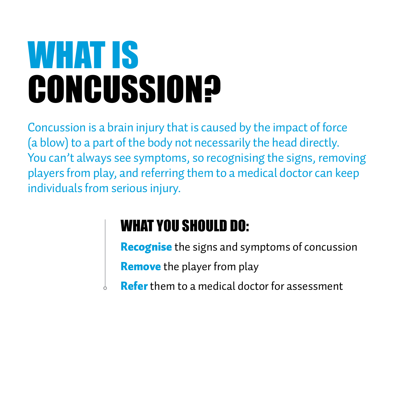### WHAT IS **CONCUSSION?**

Concussion is a brain injury that is caused by the impact of force (a blow) to a part of the body not necessarily the head directly. You can't always see symptoms, so recognising the signs, removing players from play, and referring them to a medical doctor can keep individuals from serious injury.

#### WHAT YOU SHOULD DO:

**Recognise** the signs and symptoms of concussion

Remove the player from play

Refer them to a medical doctor for assessment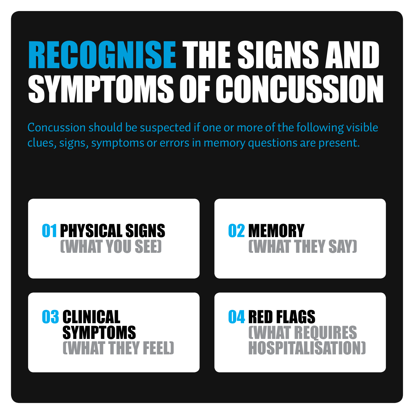### RECOGNISE THE SIGNS AND SYMPTOMS OF CONCUSSION

Concussion should be suspected if one or more of the following visible clues, signs, symptoms or errors in memory questions are present.

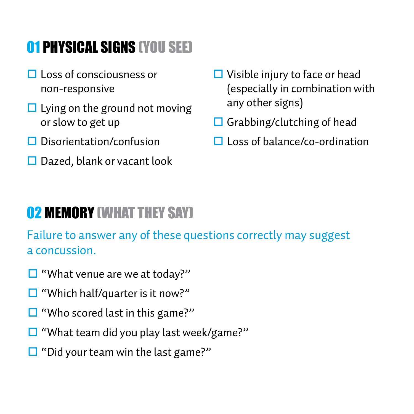#### <span id="page-3-0"></span>01 PHYSICAL SIGNS (YOU SEE)

- $\Box$  Loss of consciousness or non-responsive
- $\Box$  Lying on the ground not moving or slow to get up
- $\Box$  Disorientation/confusion
- $\square$  Dazed, blank or vacant look
- $\Box$  Visible injury to face or head (especially in combination with any other signs)
- $\Box$  Grabbing/clutching of head
- $\Box$  Loss of balance/co-ordination

#### **02 MEMORY (WHAT THEY SAY)**

Failure to answer any of these questions correctly may suggest a concussion.

- $\square$  "What venue are we at today?"
- $\square$  "Which half/quarter is it now?"
- $\Box$  "Who scored last in this game?"
- $\square$  "What team did you play last week/game?"
- $\Box$  "Did your team win the last game?"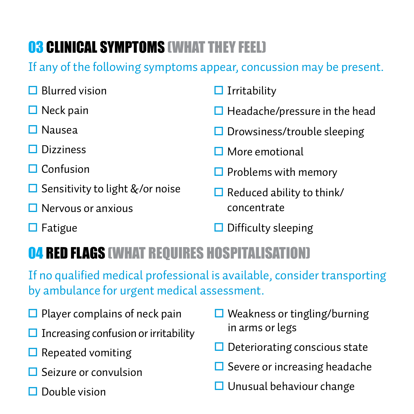#### <span id="page-4-0"></span>**03 CLINICAL SYMPTOMS (WHAT THEY FEEL)**

If any of the following symptoms appear, concussion may be present.

| $\Box$ Blurred vision                  | $\Box$ Irritability                  |
|----------------------------------------|--------------------------------------|
| $\Box$ Neck pain                       | $\Box$ Headache/pressure in the head |
| $\Box$ Nausea                          | $\Box$ Drowsiness/trouble sleeping   |
| $\Box$ Dizziness                       | $\Box$ More emotional                |
| $\Box$ Confusion                       | $\Box$ Problems with memory          |
| $\Box$ Sensitivity to light &/or noise | $\Box$ Reduced ability to think/     |
| $\Box$ Nervous or anxious              | concentrate                          |

 $\Box$  Fatigue

 $\Box$  Difficulty sleeping

#### 04 RED FLAGS (WHAT REQUIRES HOSPITALISATION)

If no qualified medical professional is available, consider transporting by ambulance for urgent medical assessment.

- $\Box$  Player complains of neck pain
- Increasing confusion or irritability
- $\square$  Repeated vomiting
- $\Box$  Seizure or convulsion
- $\Box$  Double vision
- $\Box$  Weakness or tingling/burning in arms or legs
- $\Box$  Deteriorating conscious state
- $\Box$  Severe or increasing headache
- $\Box$  Unusual behaviour change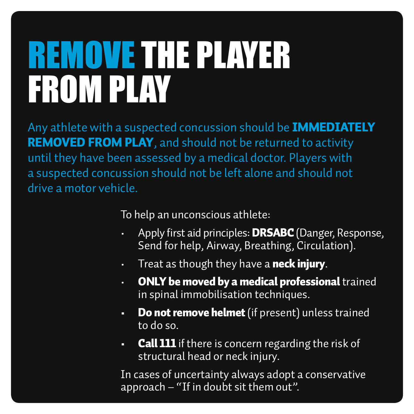### REMOVE THE PLAYER FROM PLAY

Any athlete with a suspected concussion should be **IMMEDIATELY** REMOVED FROM PLAY, and should not be returned to activity until they have been assessed by a medical doctor. Players with a suspected concussion should not be left alone and should not drive a motor vehicle.

To help an unconscious athlete:

- Apply first aid principles: **DRSABC** (Danger, Response, Send for help, Airway, Breathing, Circulation).
- $\cdot$  Treat as though they have a neck injury.
- ONLY be moved by a medical professional trained in spinal immobilisation techniques.
- Do not remove helmet (if present) unless trained to do so.
- Call 111 if there is concern regarding the risk of structural head or neck injury.

In cases of uncertainty always adopt a conservative approach – "If in doubt sit them out".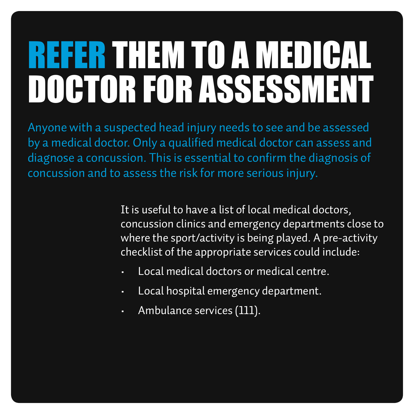## REFER THEM TO A MEDICAL DOCTOR FOR ASSESSMENT

Anyone with a suspected head injury needs to see and be assessed by a medical doctor. Only a qualified medical doctor can assess and diagnose a concussion. This is essential to confirm the diagnosis of concussion and to assess the risk for more serious injury.

> It is useful to have a list of local medical doctors, concussion clinics and emergency departments close to where the sport/activity is being played. A pre-activity checklist of the appropriate services could include:

- Local medical doctors or medical centre.
- Local hospital emergency department.
- Ambulance services (111).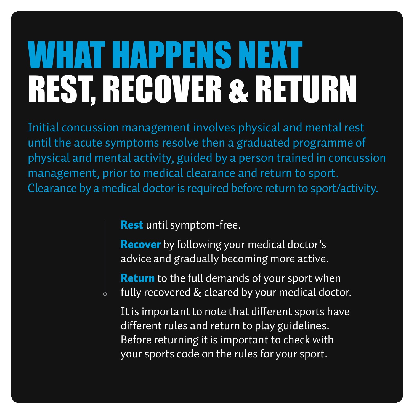### WHAT HAPPENS NEXT REST, RECOVER & RETURN

Initial concussion management involves physical and mental rest until the acute symptoms resolve then a graduated programme of physical and mental activity, guided by a person trained in concussion management, prior to medical clearance and return to sport. Clearance by a medical doctor is required before return to sport/activity.

Rest until symptom-free.

**Recover** by following your medical doctor's advice and gradually becoming more active.

**Return** to the full demands of your sport when fully recovered & cleared by your medical doctor.

It is important to note that different sports have different rules and return to play guidelines. Before returning it is important to check with your sports code on the rules for your sport.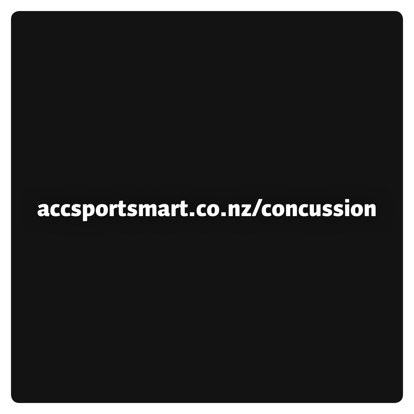### [accsportsmart.co.nz/concussion](http://accsportsmart.co.nz/concussion)